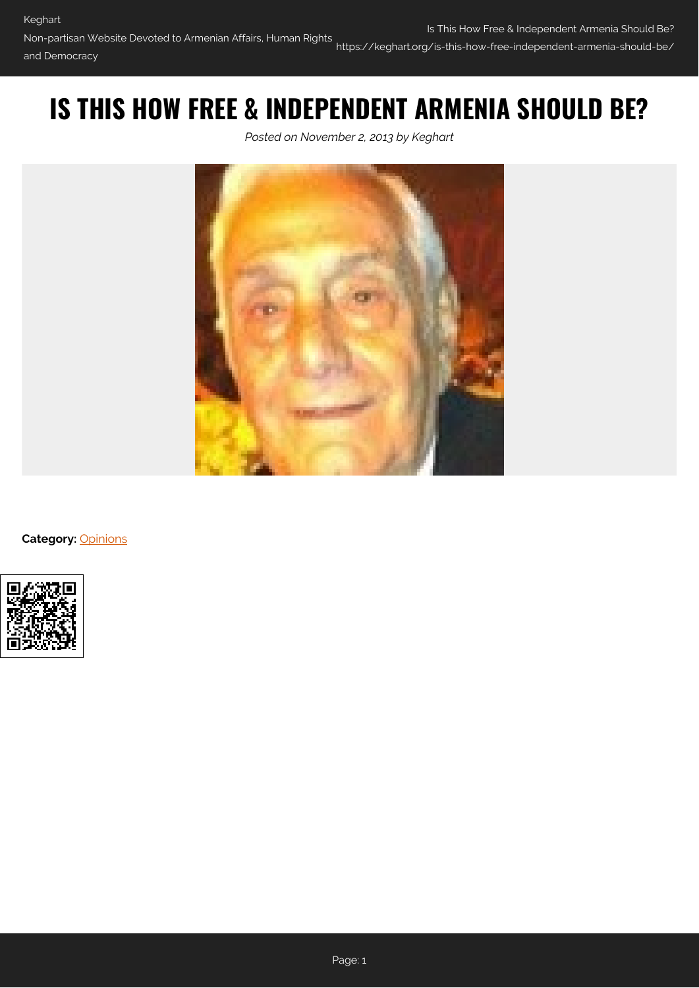https://keghart.org/is-this-how-free-independent-armenia-should-be/

# **IS THIS HOW FREE & INDEPENDENT ARMENIA SHOULD BE?**

*Posted on November 2, 2013 by Keghart*



**Category:** [Opinions](https://keghart.org/category/opinions/)

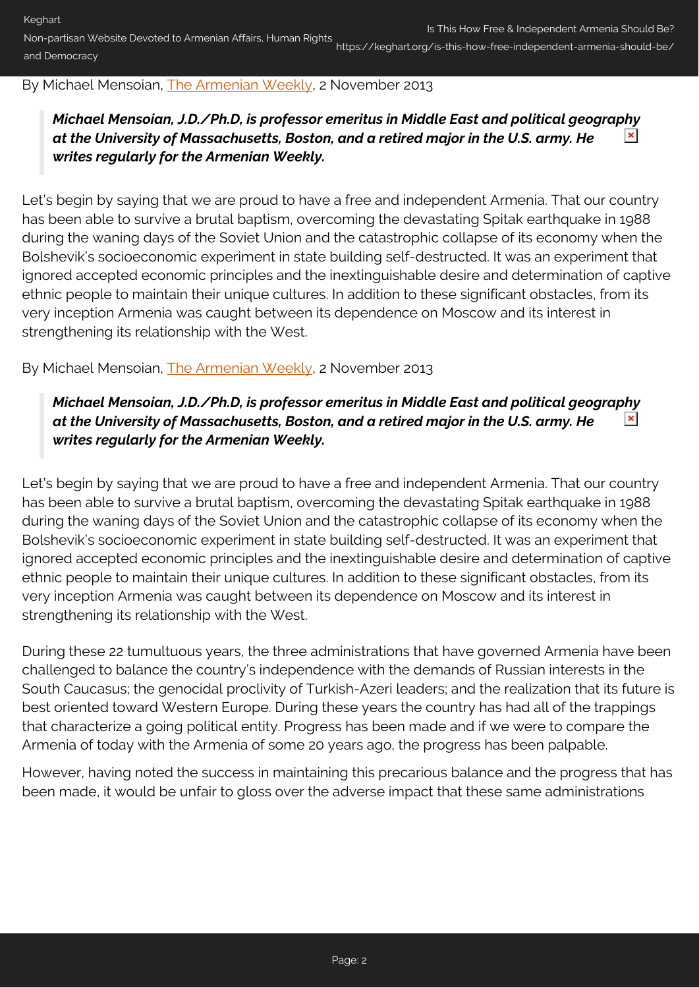## By Michael Mensoian, [The Armenian Weekly](http://www.armenianweekly.com/2013/11/02/is-this-how-our-free-and-independent-armenia-should-be/), 2 November 2013

#### *Michael Mensoian, J.D./Ph.D, is professor emeritus in Middle East and political geography at the University of Massachusetts, Boston, and a retired major in the U.S. army. He*  $\pmb{\times}$ *writes regularly for the Armenian Weekly.*

Let's begin by saying that we are proud to have a free and independent Armenia. That our country has been able to survive a brutal baptism, overcoming the devastating Spitak earthquake in 1988 during the waning days of the Soviet Union and the catastrophic collapse of its economy when the Bolshevik's socioeconomic experiment in state building self-destructed. It was an experiment that ignored accepted economic principles and the inextinguishable desire and determination of captive ethnic people to maintain their unique cultures. In addition to these significant obstacles, from its very inception Armenia was caught between its dependence on Moscow and its interest in strengthening its relationship with the West.

By Michael Mensoian, [The Armenian Weekly](http://www.armenianweekly.com/2013/11/02/is-this-how-our-free-and-independent-armenia-should-be/), 2 November 2013

#### *Michael Mensoian, J.D./Ph.D, is professor emeritus in Middle East and political geography at the University of Massachusetts, Boston, and a retired major in the U.S. army. He*  $\pmb{\times}$ *writes regularly for the Armenian Weekly.*

Let's begin by saying that we are proud to have a free and independent Armenia. That our country has been able to survive a brutal baptism, overcoming the devastating Spitak earthquake in 1988 during the waning days of the Soviet Union and the catastrophic collapse of its economy when the Bolshevik's socioeconomic experiment in state building self-destructed. It was an experiment that ignored accepted economic principles and the inextinguishable desire and determination of captive ethnic people to maintain their unique cultures. In addition to these significant obstacles, from its very inception Armenia was caught between its dependence on Moscow and its interest in strengthening its relationship with the West.

During these 22 tumultuous years, the three administrations that have governed Armenia have been challenged to balance the country's independence with the demands of Russian interests in the South Caucasus; the genocidal proclivity of Turkish-Azeri leaders; and the realization that its future is best oriented toward Western Europe. During these years the country has had all of the trappings that characterize a going political entity. Progress has been made and if we were to compare the Armenia of today with the Armenia of some 20 years ago, the progress has been palpable.

However, having noted the success in maintaining this precarious balance and the progress that has been made, it would be unfair to gloss over the adverse impact that these same administrations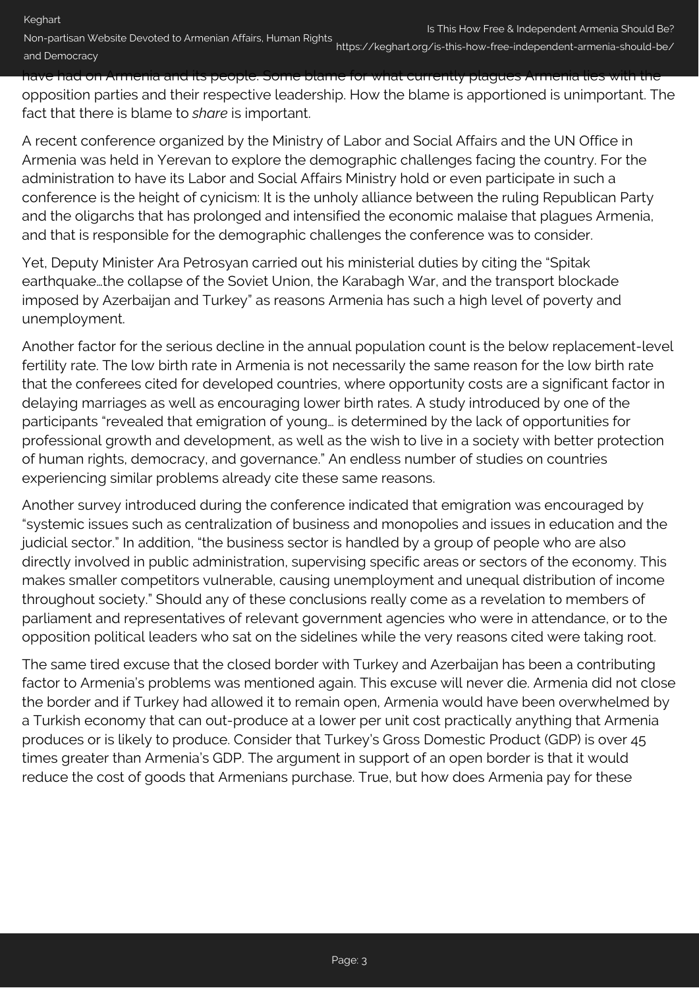https://keghart.org/is-this-how-free-independent-armenia-should-be/

have had on Armenia and its people. Some blame for what currently plagues Armenia lies with the opposition parties and their respective leadership. How the blame is apportioned is unimportant. The fact that there is blame to *share* is important.

A recent conference organized by the Ministry of Labor and Social Affairs and the UN Office in Armenia was held in Yerevan to explore the demographic challenges facing the country. For the administration to have its Labor and Social Affairs Ministry hold or even participate in such a conference is the height of cynicism: It is the unholy alliance between the ruling Republican Party and the oligarchs that has prolonged and intensified the economic malaise that plagues Armenia, and that is responsible for the demographic challenges the conference was to consider.

Yet, Deputy Minister Ara Petrosyan carried out his ministerial duties by citing the "Spitak earthquake…the collapse of the Soviet Union, the Karabagh War, and the transport blockade imposed by Azerbaijan and Turkey" as reasons Armenia has such a high level of poverty and unemployment.

Another factor for the serious decline in the annual population count is the below replacement-level fertility rate. The low birth rate in Armenia is not necessarily the same reason for the low birth rate that the conferees cited for developed countries, where opportunity costs are a significant factor in delaying marriages as well as encouraging lower birth rates. A study introduced by one of the participants "revealed that emigration of young… is determined by the lack of opportunities for professional growth and development, as well as the wish to live in a society with better protection of human rights, democracy, and governance." An endless number of studies on countries experiencing similar problems already cite these same reasons.

Another survey introduced during the conference indicated that emigration was encouraged by "systemic issues such as centralization of business and monopolies and issues in education and the judicial sector." In addition, "the business sector is handled by a group of people who are also directly involved in public administration, supervising specific areas or sectors of the economy. This makes smaller competitors vulnerable, causing unemployment and unequal distribution of income throughout society." Should any of these conclusions really come as a revelation to members of parliament and representatives of relevant government agencies who were in attendance, or to the opposition political leaders who sat on the sidelines while the very reasons cited were taking root.

The same tired excuse that the closed border with Turkey and Azerbaijan has been a contributing factor to Armenia's problems was mentioned again. This excuse will never die. Armenia did not close the border and if Turkey had allowed it to remain open, Armenia would have been overwhelmed by a Turkish economy that can out-produce at a lower per unit cost practically anything that Armenia produces or is likely to produce. Consider that Turkey's Gross Domestic Product (GDP) is over 45 times greater than Armenia's GDP. The argument in support of an open border is that it would reduce the cost of goods that Armenians purchase. True, but how does Armenia pay for these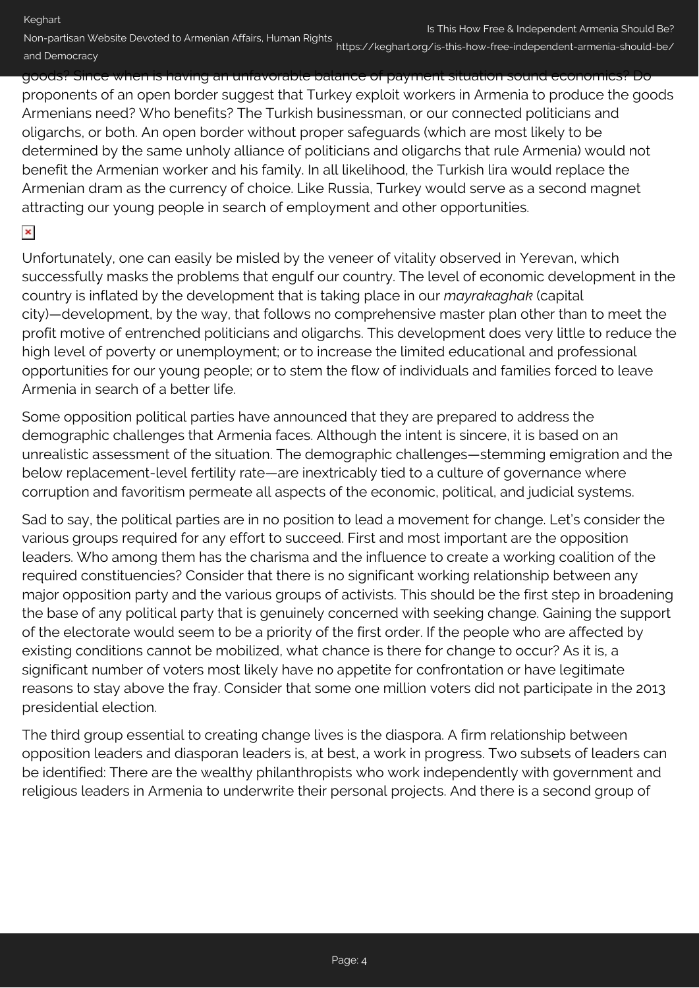Keghart

Non-partisan Website Devoted to Armenian Affairs, Human Rights and Democracy

https://keghart.org/is-this-how-free-independent-armenia-should-be/

goods? Since when is having an unfavorable balance of payment situation sound economics? Do proponents of an open border suggest that Turkey exploit workers in Armenia to produce the goods Armenians need? Who benefits? The Turkish businessman, or our connected politicians and oligarchs, or both. An open border without proper safeguards (which are most likely to be determined by the same unholy alliance of politicians and oligarchs that rule Armenia) would not benefit the Armenian worker and his family. In all likelihood, the Turkish lira would replace the Armenian dram as the currency of choice. Like Russia, Turkey would serve as a second magnet attracting our young people in search of employment and other opportunities.

## $\pmb{\times}$

Unfortunately, one can easily be misled by the veneer of vitality observed in Yerevan, which successfully masks the problems that engulf our country. The level of economic development in the country is inflated by the development that is taking place in our *mayrakaghak* (capital city)—development, by the way, that follows no comprehensive master plan other than to meet the profit motive of entrenched politicians and oligarchs. This development does very little to reduce the high level of poverty or unemployment; or to increase the limited educational and professional opportunities for our young people; or to stem the flow of individuals and families forced to leave Armenia in search of a better life.

Some opposition political parties have announced that they are prepared to address the demographic challenges that Armenia faces. Although the intent is sincere, it is based on an unrealistic assessment of the situation. The demographic challenges—stemming emigration and the below replacement-level fertility rate—are inextricably tied to a culture of governance where corruption and favoritism permeate all aspects of the economic, political, and judicial systems.

Sad to say, the political parties are in no position to lead a movement for change. Let's consider the various groups required for any effort to succeed. First and most important are the opposition leaders. Who among them has the charisma and the influence to create a working coalition of the required constituencies? Consider that there is no significant working relationship between any major opposition party and the various groups of activists. This should be the first step in broadening the base of any political party that is genuinely concerned with seeking change. Gaining the support of the electorate would seem to be a priority of the first order. If the people who are affected by existing conditions cannot be mobilized, what chance is there for change to occur? As it is, a significant number of voters most likely have no appetite for confrontation or have legitimate reasons to stay above the fray. Consider that some one million voters did not participate in the 2013 presidential election.

The third group essential to creating change lives is the diaspora. A firm relationship between opposition leaders and diasporan leaders is, at best, a work in progress. Two subsets of leaders can be identified: There are the wealthy philanthropists who work independently with government and religious leaders in Armenia to underwrite their personal projects. And there is a second group of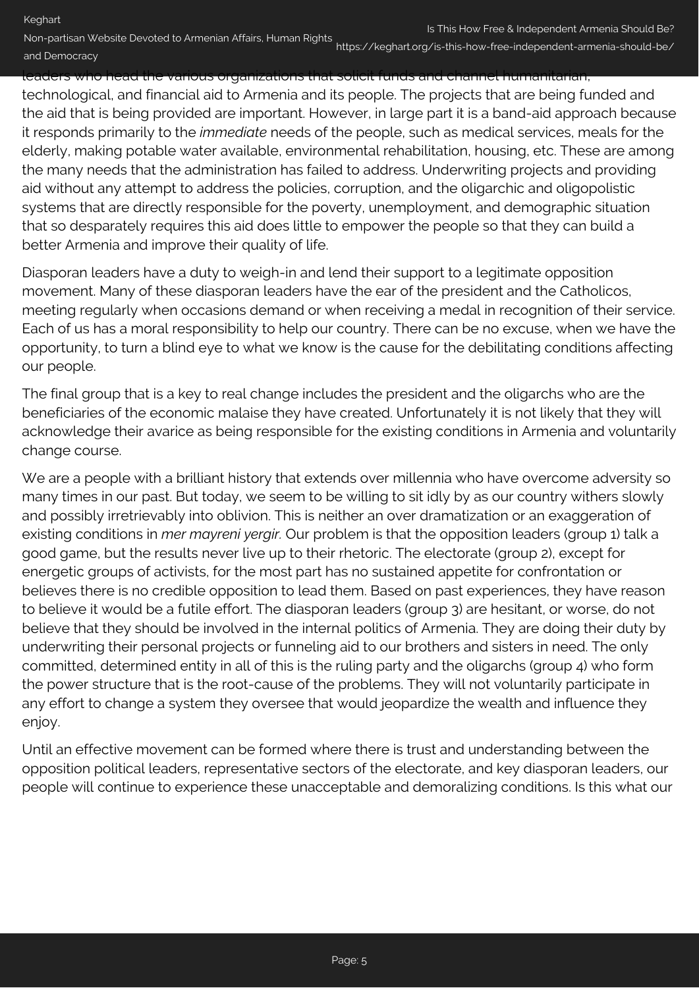https://keghart.org/is-this-how-free-independent-armenia-should-be/

# leaders who head the various organizations that solicit funds and channel humanitarian,

technological, and financial aid to Armenia and its people. The projects that are being funded and the aid that is being provided are important. However, in large part it is a band-aid approach because it responds primarily to the *immediate* needs of the people, such as medical services, meals for the elderly, making potable water available, environmental rehabilitation, housing, etc. These are among the many needs that the administration has failed to address. Underwriting projects and providing aid without any attempt to address the policies, corruption, and the oligarchic and oligopolistic systems that are directly responsible for the poverty, unemployment, and demographic situation that so desparately requires this aid does little to empower the people so that they can build a better Armenia and improve their quality of life.

Diasporan leaders have a duty to weigh-in and lend their support to a legitimate opposition movement. Many of these diasporan leaders have the ear of the president and the Catholicos, meeting regularly when occasions demand or when receiving a medal in recognition of their service. Each of us has a moral responsibility to help our country. There can be no excuse, when we have the opportunity, to turn a blind eye to what we know is the cause for the debilitating conditions affecting our people.

The final group that is a key to real change includes the president and the oligarchs who are the beneficiaries of the economic malaise they have created. Unfortunately it is not likely that they will acknowledge their avarice as being responsible for the existing conditions in Armenia and voluntarily change course.

We are a people with a brilliant history that extends over millennia who have overcome adversity so many times in our past. But today, we seem to be willing to sit idly by as our country withers slowly and possibly irretrievably into oblivion. This is neither an over dramatization or an exaggeration of existing conditions in *mer mayreni yergir.* Our problem is that the opposition leaders (group 1) talk a good game, but the results never live up to their rhetoric. The electorate (group 2), except for energetic groups of activists, for the most part has no sustained appetite for confrontation or believes there is no credible opposition to lead them. Based on past experiences, they have reason to believe it would be a futile effort. The diasporan leaders (group 3) are hesitant, or worse, do not believe that they should be involved in the internal politics of Armenia. They are doing their duty by underwriting their personal projects or funneling aid to our brothers and sisters in need. The only committed, determined entity in all of this is the ruling party and the oligarchs (group 4) who form the power structure that is the root-cause of the problems. They will not voluntarily participate in any effort to change a system they oversee that would jeopardize the wealth and influence they enjoy.

Until an effective movement can be formed where there is trust and understanding between the opposition political leaders, representative sectors of the electorate, and key diasporan leaders, our people will continue to experience these unacceptable and demoralizing conditions. Is this what our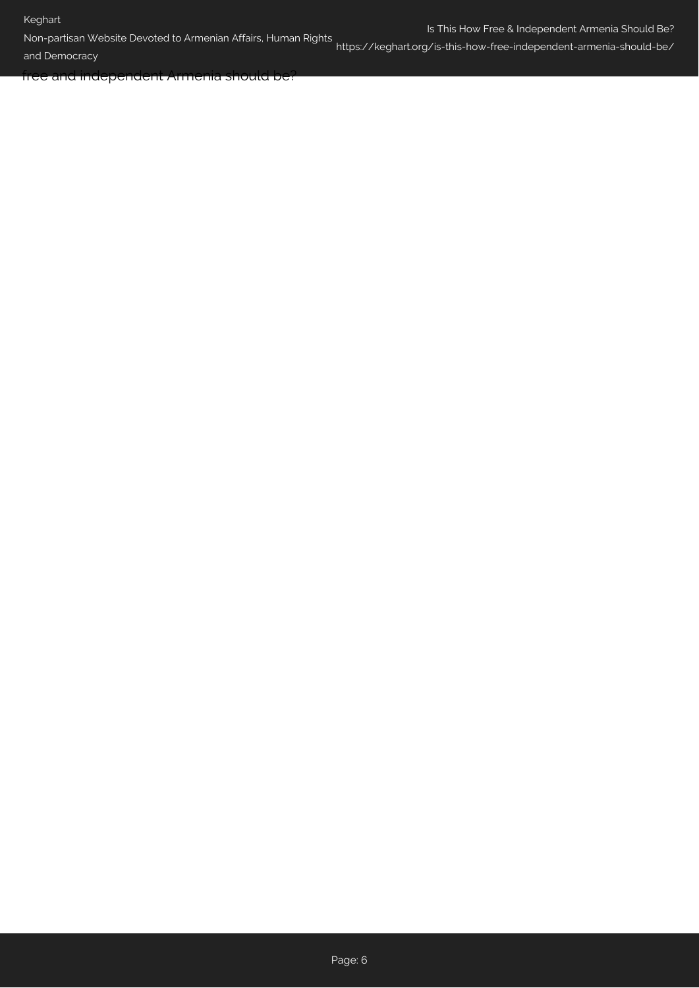### Keghart

Non-partisan Website Devoted to Armenian Affairs, Human Rights

and Democracy

https://keghart.org/is-this-how-free-independent-armenia-should-be/

free and independent Armenia should be?